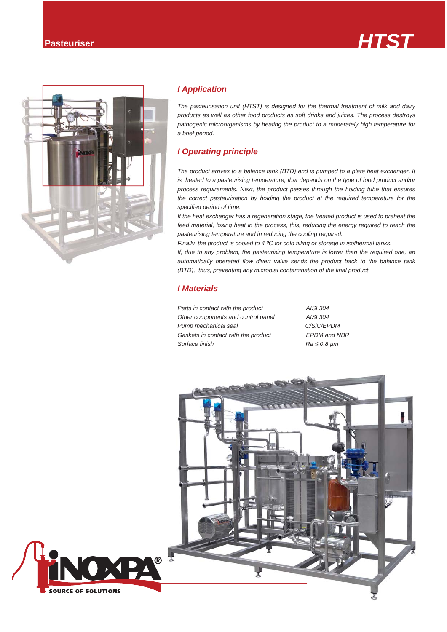



### *I Application*

*The pasteurisation unit (HTST) is designed for the thermal treatment of milk and dairy products as well as other food products as soft drinks and juices. The process destroys pathogenic microorganisms by heating the product to a moderately high temperature for a brief period.*

## *I Operating principle*

*The product arrives to a balance tank (BTD) and is pumped to a plate heat exchanger. It is heated to a pasteurising temperature, that depends on the type of food product and/or process requirements. Next, the product passes through the holding tube that ensures the correct pasteurisation by holding the product at the required temperature for the specified period of time.* 

*If the heat exchanger has a regeneration stage, the treated product is used to preheat the feed material, losing heat in the process, this, reducing the energy required to reach the pasteurising temperature and in reducing the cooling required.*

*Finally, the product is cooled to 4 ºC for cold filling or storage in isothermal tanks.*

*If, due to any problem, the pasteurising temperature is lower than the required one, an automatically operated flow divert valve sends the product back to the balance tank (BTD), thus, preventing any microbial contamination of the final product.*

#### *I Materials*

*Parts in contact with the product AISI 304 Other components and control panel AISI 304 Pump mechanical seal C/SiC/EPDM Gaskets in contact with the product EPDM and NBR Surface finish Ra ≤ 0.8 μm*